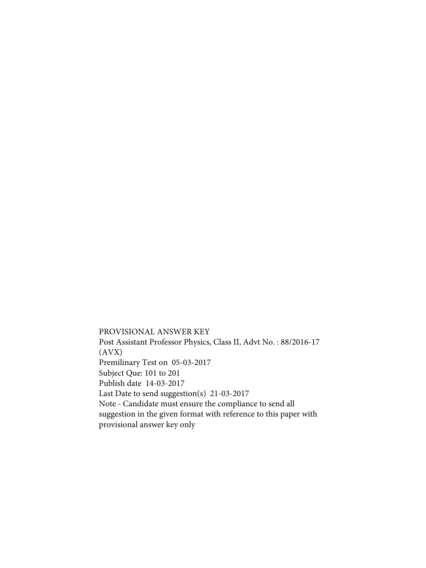PROVISIONAL ANSWER KEY Post Assistant Professor Physics, Class II, Advt No. : 88/2016-17 (AVX) Premilinary Test on 05-03-2017 Subject Que: 101 to 201 Publish date 14-03-2017 Last Date to send suggestion(s) 21-03-2017 Note - Candidate must ensure the compliance to send all suggestion in the given format with reference to this paper with provisional answer key only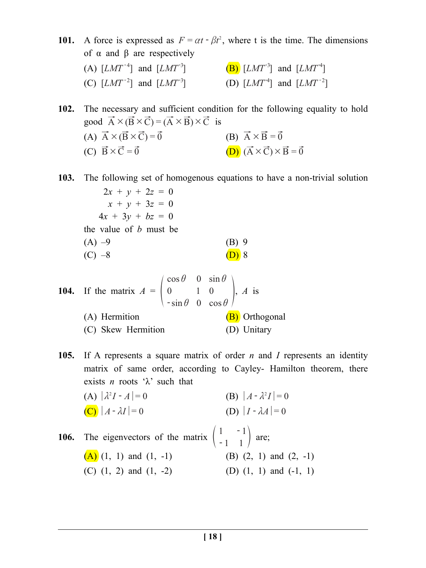**101.** A force is expressed as  $F = \alpha t - \beta t^2$ , where t is the time. The dimensions of  $α$  and  $β$  are respectively (A)  $[LMT^{-4}]$  and  $[LMT^{-3}]$  (B)  $[LMT^{-3}]$  and  $[LMT^{-4}]$ (C)  $[LMT^{-2}]$  and  $[LMT^{-3}]$  (D)  $[LMT^{-4}]$  and  $[LMT^{-2}]$ 

**102.** The necessary and sufficient condition for the following equality to hold good  $\vec{A} \times (\vec{B} \times \vec{C}) = (\vec{A} \times \vec{B}) \times \vec{C}$  is

(A) 
$$
\vec{A} \times (\vec{B} \times \vec{C}) = \vec{0}
$$
  
\n(B)  $\vec{A} \times \vec{B} = \vec{0}$   
\n(C)  $\vec{B} \times \vec{C} = \vec{0}$   
\n(D)  $(\vec{A} \times \vec{C}) \times \vec{B} = \vec{0}$ 

**103.** The following set of homogenous equations to have a non-trivial solution

$$
2x + y + 2z = 0\nx + y + 3z = 0\n4x + 3y + bz = 0\nthe value of b must be\n(A) -9\n(B) 9\n(C) -8\n(D) 8
$$

**104.** If the matrix 
$$
A = \begin{pmatrix} \cos \theta & 0 & \sin \theta \\ 0 & 1 & 0 \\ -\sin \theta & 0 & \cos \theta \end{pmatrix}
$$
, A is  
\n(A) Hermition  
\n(C) Skew Hermition  
\n(D) Unitary

- **105.** If A represents a square matrix of order *n* and *I* represents an identity matrix of same order, according to Cayley- Hamilton theorem, there exists *n* roots ' $\lambda$ ' such that
- (A)  $|\lambda^2 I A| = 0$  (B)  $|A \lambda^2 I| = 0$ (C)  $|A - \lambda I| = 0$  (D)  $|I - \lambda A| = 0$ **106.** The eigenvectors of the matrix  $\begin{pmatrix} 1 \end{pmatrix}$ 1 1  $\begin{pmatrix} 1 & -1 \\ -1 & 1 \end{pmatrix}$  are; (A)  $(1, 1)$  and  $(1, -1)$  (B)  $(2, 1)$  and  $(2, -1)$ (C)  $(1, 2)$  and  $(1, -2)$  (D)  $(1, 1)$  and  $(-1, 1)$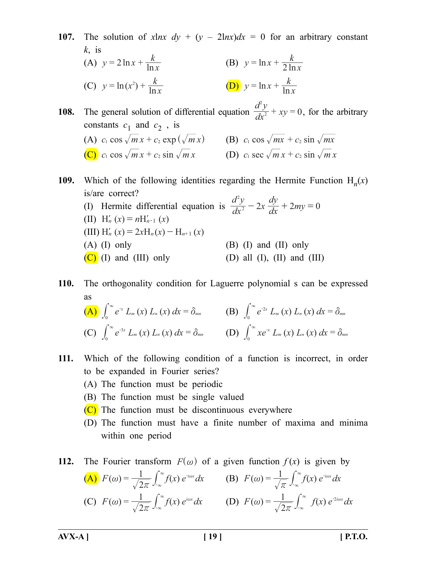**107.** The solution of *xlnx dy* +  $(y - 2lnx)dx = 0$  for an arbitrary constant *k*, is (A)  $y = 2 \ln x + \frac{k}{\ln x}$  $y = \ln x + \frac{k}{\ln x}$  **(B)**  $y = \ln x + \frac{k}{2 \ln x}$ (C)  $y = \ln(x^2) + \frac{k}{\ln x}$  <br> (D)  $y = \ln x + \frac{k}{\ln x}$ 

**108.** The general solution of differential equation  $\frac{dy}{dx^2} + xy = 0$ *d y* $\frac{y}{2} + xy$ 2  $+ xy = 0$ , for the arbitrary constants  $c_1$  and  $c_2$ , is (A)  $c_1 \cos \sqrt{m} x + c_2 \exp (\sqrt{m} x)$  (B)  $c_1 \cos \sqrt{mx} + c_2 \sin \sqrt{mx}$ (C)  $c_1 \cos \sqrt{m} x + c_2 \sin \sqrt{m} x$  (D)  $c_1 \sec \sqrt{m} x + c_2 \sin \sqrt{m} x$ 

**109.** Which of the following identities regarding the Hermite Function  $H_n(x)$ is/are correct? 2

(I) Hermite differential equation is  $\frac{dy}{dx^2} - 2x \frac{dy}{dx} + 2my = 0$  $d^2y$  $\int x \frac{dy}{dx}$ *dy*  $\frac{y}{2} - 2x \frac{dy}{dx} + 2my$  $- 2x \frac{dy}{dx} + 2my =$ (II)  $H'_{n}(x) = nH'_{n-1}(x)$  $(H_{n} (x) = 2xH_{n}(x) - H_{n+1}(x))$  $(A)$  (I) only  $(B)$  (I) and (II) only  $(C)$  (I) and (III) only (D) all (I), (II) and (III)

**110.** The orthogonality condition for Laguerre polynomial s can be expressed as

$$
\begin{array}{ll}\n\textbf{(A)} \int_0^\infty e^{-x} \, L_m(x) \, L_n(x) \, dx = \delta_{mn} & \textbf{(B)} \int_0^\infty e^{-2x} \, L_m(x) \, L_n(x) \, dx = \delta_{mn} \\
\textbf{(C)} \int_0^\infty e^{-3x} \, L_m(x) \, L_n(x) \, dx = \delta_{mn} & \textbf{(D)} \int_0^\infty x e^{-x} \, L_m(x) \, L_n(x) \, dx = \delta_{mn}\n\end{array}
$$

- **111.** Which of the following condition of a function is incorrect, in order to be expanded in Fourier series?
	- (A) The function must be periodic
	- (B) The function must be single valued
	- $(C)$  The function must be discontinuous everywhere
	- (D) The function must have a finite number of maxima and minima within one period
- **112.** The Fourier transform  $F^{\alpha}$  of a given function  $f(x)$  is given by (A)  $F(\omega) = \frac{1}{\sqrt{2\pi}} \int_{-\infty}^{\infty} f(x) e^{-i\omega x} dx$  (B)  $F(\omega) = \frac{1}{\sqrt{\pi}} \int_{-\infty}^{\infty} f(x) e^{-i\omega x} dx$ (C)  $F(\omega) = \frac{1}{\sqrt{2\pi}} \int_{-\infty}^{\infty} f(x) e^{i\omega x} dx$  (D)  $F(\omega) = \frac{1}{\sqrt{2\pi}} \int_{-\infty}^{\infty} f(x) e^{-2i\omega x} dx$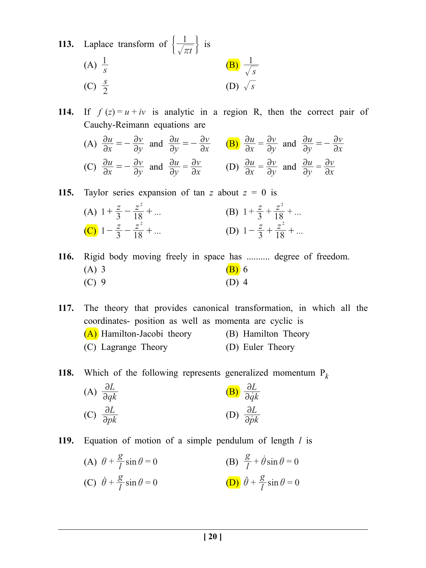- **113.** Laplace transform of  $\left\{\frac{1}{\sqrt{\pi t}}\right\}$  is  $(A) \frac{1}{s}$  $\frac{1}{s}$  (B) *s* 1 (C)  $\frac{s}{2}$  $(D)$   $\sqrt{s}$
- **114.** If  $f(z) = u + iv$  is analytic in a region R, then the correct pair of Cauchy-Reimann equations are
	- (A)  $\frac{\partial u}{\partial x}$ *y v*  $\partial$  $\partial$  $=-\frac{\partial v}{\partial y}$  and  $\frac{\partial u}{\partial y}$ *u x v*  $\partial$  $\partial$  $=-\frac{\partial v}{\partial x}$  **(B)**  $\frac{\partial u}{\partial x}$ *y v*  $\partial$  $\partial$  $=$   $\frac{\partial v}{\partial y}$  and  $\frac{\partial u}{\partial y}$ *u x v*  $\partial$  $\partial$  $=-\frac{\partial}{\partial x}$ (C)  $\frac{\partial u}{\partial x}$ *y v*  $\partial$  $\partial$  $=-\frac{\partial v}{\partial y}$  and  $\frac{\partial u}{\partial y}$ *u x v*  $\partial$  $\partial$  $=\frac{\partial v}{\partial x}$  (D)  $\frac{\partial u}{\partial x}$ *y v*  $\partial$  $\partial$  $=$   $\frac{\partial v}{\partial y}$  and  $\frac{\partial u}{\partial y}$ *u x v*  $\partial$  $\partial$  $=\frac{\partial}{\partial x}$

**115.** Taylor series expansion of tan *z* about  $z = 0$  is (A)  $1 + \frac{z}{3} - \frac{z^2}{18} + ...$ 2  $+\frac{z}{3} - \frac{z^2}{18} + \dots$  (B)  $1 + \frac{z}{3} + \frac{z^2}{18} + \dots$  $+\frac{z}{3}+\frac{z^2}{18}+$ **(C)**  $1 - \frac{z}{3} - \frac{z^2}{18} + ...$ 2  $-\frac{z}{3} - \frac{z^2}{18} + \dots$  (D)  $1 - \frac{z}{3} + \frac{z^2}{18} + \dots$  $-\frac{z}{2} + \frac{z^2}{18} +$ 

**116.** Rigid body moving freely in space has .......... degree of freedom. (A) 3 (B) 6  $(C) 9$  (D) 4

**117.** The theory that provides canonical transformation, in which all the coordinates- position as well as momenta are cyclic is (A) Hamilton-Jacobi theory (B) Hamilton Theory (C) Lagrange Theory (D) Euler Theory

**118.** Which of the following represents generalized momentum P*<sup>k</sup>*

(A) 
$$
\frac{\partial L}{\partial qk}
$$
   
\n(B)  $\frac{\partial L}{\partial \dot{q}k}$    
\n(C)  $\frac{\partial L}{\partial pk}$    
\n(D)  $\frac{\partial L}{\partial \dot{p}k}$ 

- **119.** Equation of motion of a simple pendulum of length *l* is
	- (A)  $\theta + \frac{g}{l} \sin \theta = 0$  $\theta + \frac{g}{l} \sin \theta = 0$  (B)  $\frac{g}{l} + \dot{\theta} \sin \theta = 0$ (C)  $\dot{\theta} + \frac{g}{l} \sin \theta = 0$  $\dot{\theta} + \frac{g}{l} \sin \theta = 0$  (D)  $\ddot{\theta} + \frac{g}{l} \sin \theta = 0$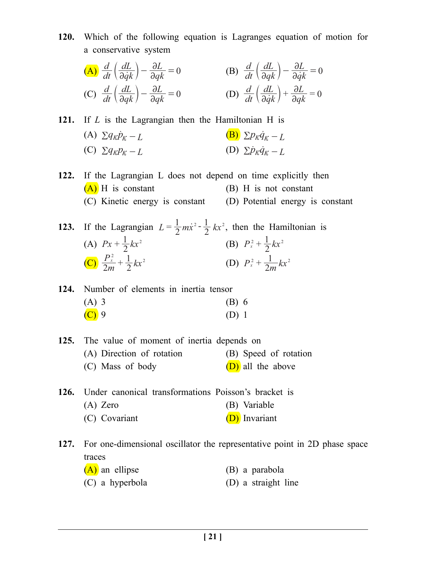**120.** Which of the following equation is Lagranges equation of motion for a conservative system

(A) 
$$
\frac{d}{dt} \left( \frac{dL}{\partial \dot{q}k} \right) - \frac{\partial L}{\partial qk} = 0
$$
 (B)  $\frac{d}{dt} \left( \frac{dL}{\partial qk} \right) - \frac{\partial L}{\partial \dot{q}k} = 0$   
(C)  $\frac{d}{dt} \left( \frac{dL}{\partial qk} \right) - \frac{\partial L}{\partial qk} = 0$  (D)  $\frac{d}{dt} \left( \frac{dL}{\partial \dot{q}k} \right) + \frac{\partial L}{\partial qk} = 0$ 

**121.** If *L* is the Lagrangian then the Hamiltonian H is (A)  $\sum q_k \dot{p}_k - L$  (B)  $\sum p_k \dot{q}_k - L$ (C)  $\sum q_k p_k - L$  (D)  $\sum \dot{p}_k \dot{q}_k - L$ 

- **122.** If the Lagrangian L does not depend on time explicitly then  $(A)$  H is constant (B) H is not constant (C) Kinetic energy is constant (D) Potential energy is constant
- **123.** If the Lagrangian  $L = \frac{1}{2} m x^2 \frac{1}{2} kx$  $=\frac{1}{2}m\dot{x}^2 - \frac{1}{2}kx^2$ , then the Hamiltonian is (A)  $Px + \frac{1}{2}kx^2$  $+\frac{1}{2}kx^2$  (B)  $P_x^2 + \frac{1}{2}kx^2$  $\left(\frac{C}{C}\right) \frac{P_x^2}{2m} + \frac{1}{2}kx$ +  $\frac{1}{2}kx^2$  (D)  $P_x^2 + \frac{1}{2m}kx^2$

|         | 124. Number of elements in inertia tensor |  |         |  |
|---------|-------------------------------------------|--|---------|--|
| $(A)$ 3 |                                           |  | (B) 6   |  |
| $(C)$ 9 |                                           |  | $(D)$ 1 |  |

| 125. The value of moment of inertia depends on |                       |
|------------------------------------------------|-----------------------|
| (A) Direction of rotation                      | (B) Speed of rotation |
| (C) Mass of body                               | (D) all the above     |

**126.** Under canonical transformations Poisson's bracket is (A) Zero (B) Variable (C) Covariant (D) Invariant

**127.** For one-dimensional oscillator the representative point in 2D phase space traces

- (A) an ellipse (B) a parabola
- (C) a hyperbola (D) a straight line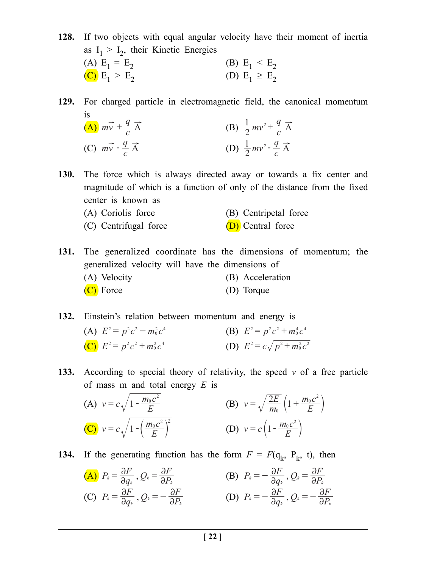**128.** If two objects with equal angular velocity have their moment of inertia as  $I_1 > I_2$ , their Kinetic Energies<br>(A)  $E_1 = E_2$ (B)  $E_1 < E_2$ <br>(D)  $E_1 \ge E_2$ (C)  $E_1 > E_2$ 

**129.** For charged particle in electromagnetic field, the canonical momentum is

| (A) $m\vec{v}$ + $\frac{q}{c}\vec{A}$ | (B) $\frac{1}{2}mv^2 + \frac{q}{c}\vec{A}$ |
|---------------------------------------|--------------------------------------------|
| (C) $m\vec{v}$ - $\frac{q}{c}\vec{A}$ | (D) $\frac{1}{2}mv^2 - \frac{q}{c}\vec{A}$ |

- **130.** The force which is always directed away or towards a fix center and magnitude of which is a function of only of the distance from the fixed center is known as
	- (A) Coriolis force (B) Centripetal force
	- (C) Centrifugal force  $(D)$  Central force

- **131.** The generalized coordinate has the dimensions of momentum; the generalized velocity will have the dimensions of (A) Velocity (B) Acceleration
	- (C) Force (D) Torque

**132.** Einstein's relation between momentum and energy is

| (A) $E^2 = p^2 c^2 - m_0^2 c^4$ | (B) $E^2 = p^2 c^2 + m_0^4 c^4$     |
|---------------------------------|-------------------------------------|
| (C) $E^2 = p^2 c^2 + m_0^2 c^4$ | (D) $E^2 = c\sqrt{p^2 + m_0^2 c^2}$ |

**133.** According to special theory of relativity, the speed *v* of a free particle of mass m and total energy *E* is

(A) 
$$
v = c \sqrt{1 - \frac{m_0 c^2}{E}}
$$
  
\n(B)  $v = \sqrt{\frac{2E}{m_0} \left(1 + \frac{m_0 c^2}{E}\right)}$   
\n(C)  $v = c \sqrt{1 - \left(\frac{m_0 c^2}{E}\right)^2}$   
\n(D)  $v = c \left(1 - \frac{m_0 c^2}{E}\right)$ 

**134.** If the generating function has the form  $F = F(q_k, P_k, t)$ , then

(A) 
$$
P_k = \frac{\partial F}{\partial q_k}, Q_k = \frac{\partial F}{\partial P_k}
$$

\n(B)  $P_k = -\frac{\partial F}{\partial q_k}, Q_k = \frac{\partial F}{\partial P_k}$ 

\n(C)  $P_k = \frac{\partial F}{\partial q_k}, Q_k = -\frac{\partial F}{\partial P_k}$ 

\n(D)  $P_k = -\frac{\partial F}{\partial q_k}, Q_k = -\frac{\partial F}{\partial P_k}$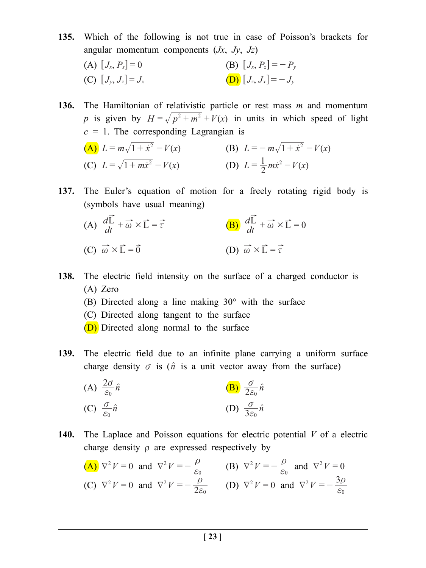- **135.** Which of the following is not true in case of Poisson's brackets for angular momentum components (*Jx*, *Jy*, *Jz*)
	- (A)  $[J_x, P_x] = 0$  (B)  $[J_x, P_z] = -P_y$ (C)  $[J_{\nu}, J_{z}] = J_{x}$  (D)  $[J_{z}, J_{x}] = -J_{\nu}$

**136.** The Hamiltonian of relativistic particle or rest mass *m* and momentum *p* is given by  $H = \sqrt{p^2 + m^2} + V(x)$  in units in which speed of light  $c = 1$ . The corresponding Lagrangian is (A)  $L = m\sqrt{1 + \dot{x}^2} - V(x)$  (B)  $L = -m\sqrt{1 + \dot{x}^2} - V(x)$ 

(C) 
$$
L = \sqrt{1 + m\dot{x}^2} - V(x)
$$
 (D)  $L = \frac{1}{2}m\dot{x}^2 - V(x)$ 

**137.** The Euler's equation of motion for a freely rotating rigid body is (symbols have usual meaning)

(A) 
$$
\frac{d\vec{L}}{dt} + \vec{\omega} \times \vec{L} = \vec{\tau}
$$
  
\n(B) 
$$
\frac{d\vec{L}}{dt} + \vec{\omega} \times \vec{L} = 0
$$
  
\n(C) 
$$
\vec{\omega} \times \vec{L} = \vec{0}
$$
  
\n(D) 
$$
\vec{\omega} \times \vec{L} = \vec{\tau}
$$

- **138.** The electric field intensity on the surface of a charged conductor is (A) Zero
	- (B) Directed along a line making 30° with the surface
	- (C) Directed along tangent to the surface
	- (D) Directed along normal to the surface
- **139.** The electric field due to an infinite plane carrying a uniform surface charge density  $\sigma$  is  $(\hat{n}$  is a unit vector away from the surface)

(A) 
$$
\frac{2\sigma}{\varepsilon_0}\hat{n}
$$
   
\n(B)  $\frac{\sigma}{2\varepsilon_0}\hat{n}$    
\n(C)  $\frac{\sigma}{\varepsilon_0}\hat{n}$    
\n(D)  $\frac{\sigma}{3\varepsilon_0}\hat{n}$ 

**140.** The Laplace and Poisson equations for electric potential *V* of a electric charge density ρ are expressed respectively by

(A) 
$$
\nabla^2 V = 0
$$
 and  $\nabla^2 V = -\frac{\rho}{\epsilon_0}$  (B)  $\nabla^2 V = -\frac{\rho}{\epsilon_0}$  and  $\nabla^2 V = 0$   
\n(C)  $\nabla^2 V = 0$  and  $\nabla^2 V = -\frac{\rho}{2\epsilon_0}$  (D)  $\nabla^2 V = 0$  and  $\nabla^2 V = -\frac{3\rho}{\epsilon_0}$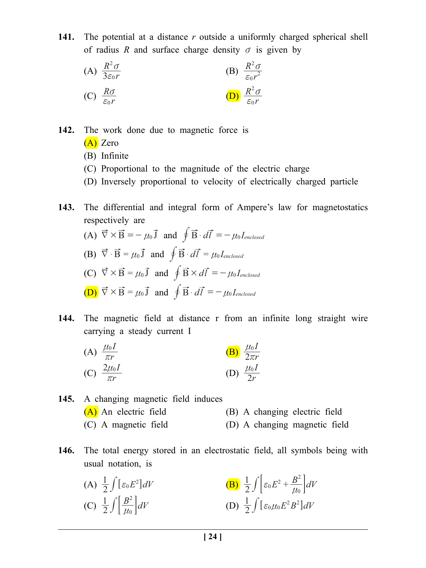**141.** The potential at a distance *r* outside a uniformly charged spherical shell of radius *R* and surface charge density  $\sigma$  is given by

(A) 
$$
\frac{R^2 \sigma}{3\varepsilon_0 r}
$$
  
\n(B)  $\frac{R^2 \sigma}{\varepsilon_0 r^2}$   
\n(C)  $\frac{R\sigma}{\varepsilon_0 r}$   
\n(D)  $\frac{R^2 \sigma}{\varepsilon_0 r}$ 

**142.** The work done due to magnetic force is

- (A) Zero
- (B) Infinite
- (C) Proportional to the magnitude of the electric charge
- (D) Inversely proportional to velocity of electrically charged particle
- **143.** The differential and integral form of Ampere's law for magnetostatics respectively are
	- (A)  $\vec{\nabla} \times \vec{B} = -\mu_0 \vec{J}$  and  $\oint \vec{B} \cdot d\vec{l} = -\mu_0 I_{enclosed}$ (B)  $\vec{\nabla} \cdot \vec{B} = \mu_0 \vec{J}$  and  $\oint \vec{B} \cdot d\vec{l} = \mu_0 I_{enclosed}$ (C)  $\vec{\nabla} \times \vec{B} = \mu_0 \vec{J}$  and  $\oint \vec{B} \times d\vec{l} = -\mu_0 I_{enclosed}$  $(\mathbf{D}) \vec{\nabla} \times \vec{\mathbf{B}} = \mu_0 \vec{\mathbf{J}}$  and  $\oint \vec{\mathbf{B}} \cdot d\vec{l} = -\mu_0 I_{enclosed}$
- **144.** The magnetic field at distance r from an infinite long straight wire carrying a steady current I

(A) 
$$
\frac{\mu_0 I}{\pi r}
$$
  
\n(B)  $\frac{\mu_0 I}{2\pi r}$   
\n(C)  $\frac{2\mu_0 I}{\pi r}$   
\n(D)  $\frac{\mu_0 I}{2r}$ 

**145.** A changing magnetic field induces (A) An electric field (B) A changing electric field (C) A magnetic field (D) A changing magnetic field

- **146.** The total energy stored in an electrostatic field, all symbols being with usual notation, is
	- (A)  $\frac{1}{2} \int [\varepsilon_0 E^2] dV$  $\int [\varepsilon_0 E^2] dV$  **(B)**  $\frac{1}{2} \int \left[ \varepsilon_0 E^2 + \frac{B^2}{\mu_0} \right] dV$ 0 2  $\int \left[\varepsilon_0 E^2 + \frac{B^2}{\mu_0}\right]$ (C)  $\frac{1}{2} \int \left| \frac{B^2}{\mu_0} \right| dV$ 0 2 *<sup>n</sup>* # ; <sup>E</sup> (D) *E B dV* <sup>2</sup> 1 0 2 0 <sup>2</sup> # <sup>6</sup>*f n* @